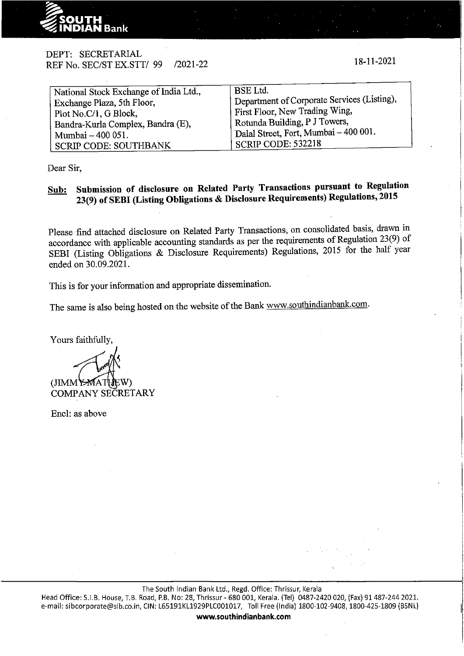

# DEPT: SECRETARIAL REF No. SEC/ST EX.STT/ 99 /2021-22

| National Stock Exchange of India Ltd., | <b>BSE</b> Ltd.                                    |
|----------------------------------------|----------------------------------------------------|
| Exchange Plaza, 5th Floor,             | Department of Corporate Services (Listing),        |
| Plot No.C/1, G Block,                  | First Floor, New Trading Wing,                     |
| Bandra-Kurla Complex, Bandra (E),      | Rotunda Building, P J Towers,                      |
| Mumbai - 400 051.                      | <sup>1</sup> Dalal Street, Fort, Mumbai - 400 001. |
| <b>SCRIP CODE: SOUTHBANK</b>           | 'SCRIP CODE: 532218                                |
|                                        |                                                    |

Dear Sir,

# **Sub: Submission of disclosure on Related Party Transactions pursuant to Regulation 23(9) of SEBI (Listing Obligations & Disclosure Requirements) Regulations, 2015**

Please find attached disclosure on Related Party Transactions, on consolidated basis, drawn in accordance with applicable accounting standards as per the requirements of Regulation 23(9) of SEBI (Listing Obligations & Disclosure Requirements) Regulations, 2015 for the half year ended on 30.09.2021.

This is for your information and appropriate dissemination.

The same is also being hosted on the website of the Bank www.southindianbank.com.

Yours faithfully,

(JIMMY<del>-M</del>ATUEW)<br>COMPANY SECRETARY

Encl: as above